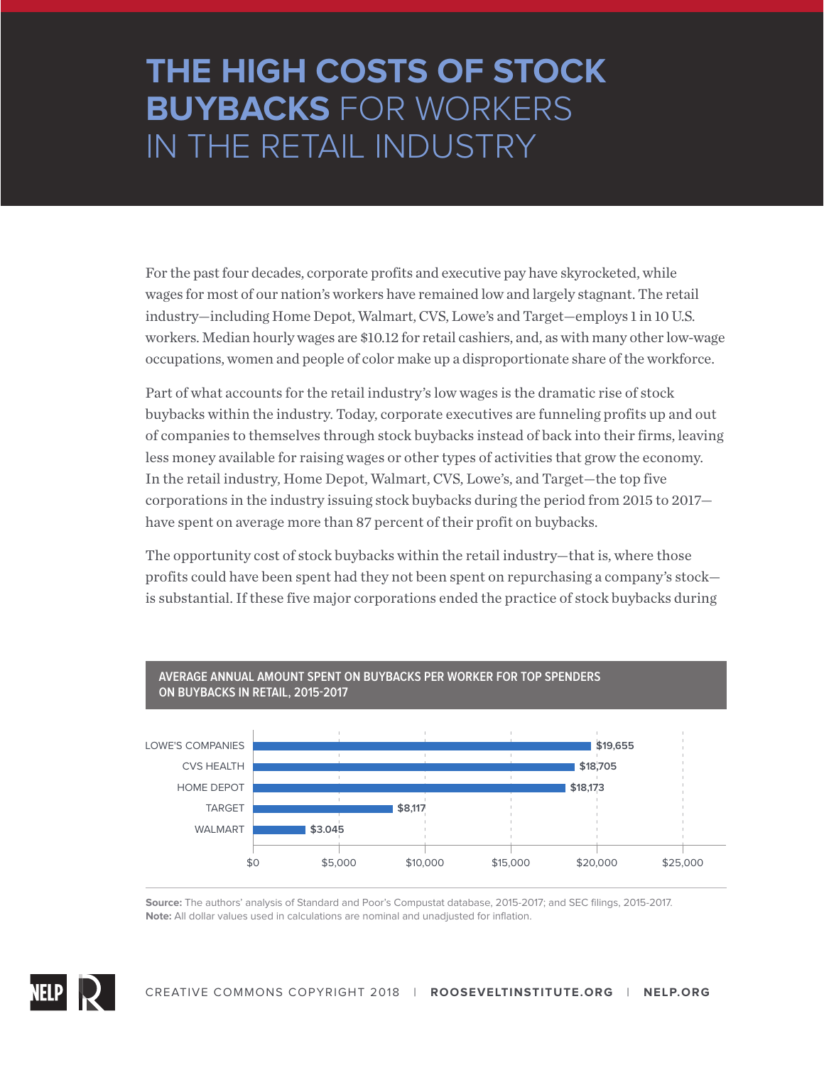## **THE HIGH COSTS OF STOCK BUYBACKS** FOR WORKERS IN THE RETAIL INDUSTRY

For the past four decades, corporate profits and executive pay have skyrocketed, while wages for most of our nation's workers have remained low and largely stagnant. The retail industry—including Home Depot, Walmart, CVS, Lowe's and Target—employs 1 in 10 U.S. workers. Median hourly wages are \$10.12 for retail cashiers, and, as with many other low-wage occupations, women and people of color make up a disproportionate share of the workforce.

Part of what accounts for the retail industry's low wages is the dramatic rise of stock buybacks within the industry. Today, corporate executives are funneling profits up and out of companies to themselves through stock buybacks instead of back into their firms, leaving less money available for raising wages or other types of activities that grow the economy. In the retail industry, Home Depot, Walmart, CVS, Lowe's, and Target—the top five corporations in the industry issuing stock buybacks during the period from 2015 to 2017 have spent on average more than 87 percent of their profit on buybacks.

The opportunity cost of stock buybacks within the retail industry—that is, where those profits could have been spent had they not been spent on repurchasing a company's stock is substantial. If these five major corporations ended the practice of stock buybacks during



## **AVERAGE ANNUAL AMOUNT SPENT ON BUYBACKS PER WORKER FOR TOP SPENDERS**

**Source:** The authors' analysis of Standard and Poor's Compustat database, 2015-2017; and SEC filings, 2015-2017. **Note:** All dollar values used in calculations are nominal and unadjusted for inflation.